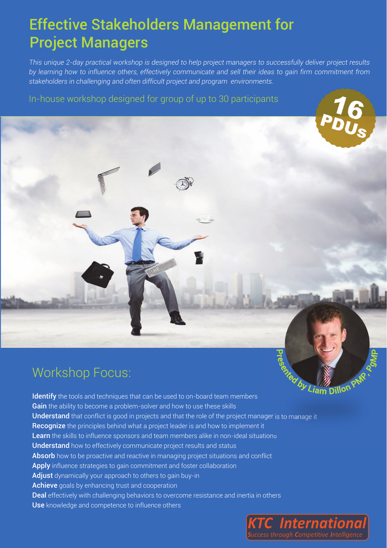## Effective Stakeholders Management for Project Managers

*This unique 2-day practical workshop is designed to help project managers to successfully deliver project results by learning how to influence others, effectively communicate and sell their ideas to gain firm commitment from stakeholders in challenging and often difficult project and program environments.* 

In-house workshop designed for group of up to 30 participants



by Liam Dillon Identify the tools and techniques that can be used to on-board team members Gain the ability to become a problem-solver and how to use these skills Understand that conflict is good in projects and that the role of the project manager is to manage it Recognize the principles behind what a project leader is and how to implement it Learn the skills to influence sponsors and team members alike in non-ideal situations Understand how to effectively communicate project results and status Absorb how to be proactive and reactive in managing project situations and conflict Apply influence strategies to gain commitment and foster collaboration Adjust dynamically your approach to others to gain buy-in Achieve goals by enhancing trust and cooperation Deal effectively with challenging behaviors to overcome resistance and inertia in others Use knowledge and competence to influence others

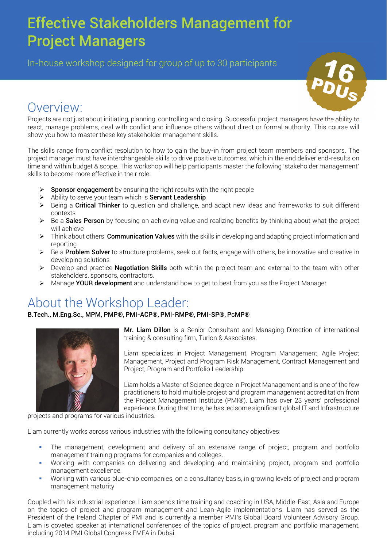# Effective Stakeholders Management for Project Managers

In-house workshop designed for group of up to 30 participants



### Overview:

Projects are not just about initiating, planning, controlling and closing. Successful project managers have the ability to react, manage problems, deal with conflict and influence others without direct or formal authority. This course will show you how to master these key stakeholder management skills.

The skills range from conflict resolution to how to gain the buy-in from project team members and sponsors. The project manager must have interchangeable skills to drive positive outcomes, which in the end deliver end-results on time and within budget & scope. This workshop will help participants master the following 'stakeholder management' skills to become more effective in their role:

- Sponsor engagement by ensuring the right results with the right people
- $\triangleright$  Ability to serve your team which is **Servant Leadership**
- $\triangleright$  Being a Critical Thinker to question and challenge, and adapt new ideas and frameworks to suit different contexts
- $\triangleright$  Be a **Sales Person** by focusing on achieving value and realizing benefits by thinking about what the project will achieve
- $\triangleright$  Think about others' **Communication Values** with the skills in developing and adapting project information and reporting
- $\triangleright$  Be a **Problem Solver** to structure problems, seek out facts, engage with others, be innovative and creative in developing solutions
- $\triangleright$  Develop and practice **Negotiation Skills** both within the project team and external to the team with other stakeholders, sponsors, contractors.
- Manage YOUR development and understand how to get to best from you as the Project Manager

## About the Workshop Leader:

B.Tech., M.Eng.Sc., MPM, PMP®, PMI-ACP®, PMI-RMP®, PMI-SP®, PGMP®



Mr. Liam Dillon is a Senior Consultant and Managing Direction of international training & consulting firm, Turlon & Associates.

Liam specializes in Project Management, Program Management, Agile Project Management, Project and Program Risk Management, Contract Management and Project, Program and Portfolio Leadership.

Liam holds a Master of Science degree in Project Management and is one of the few practitioners to hold multiple project and program management accreditation from the Project Management Institute (PMI®). Liam has over 23 years' professional experience. During that time, he has led some significant global IT and Infrastructure

projects and programs for various industries.

Liam currently works across various industries with the following consultancy objectives:

- The management, development and delivery of an extensive range of project, program and portfolio management training programs for companies and colleges.
- Working with companies on delivering and developing and maintaining project, program and portfolio management excellence.
- Working with various blue-chip companies, on a consultancy basis, in growing levels of project and program management maturity

Coupled with his industrial experience, Liam spends time training and coaching in USA, Middle-East, Asia and Europe on the topics of project and program management and Lean-Agile implementations. Liam has served as the President of the Ireland Chapter of PMI and is currently a member PMI's Global Board Volunteer Advisory Group. Liam is coveted speaker at international conferences of the topics of project, program and portfolio management, including 2014 PMI Global Congress EMEA in Dubai.